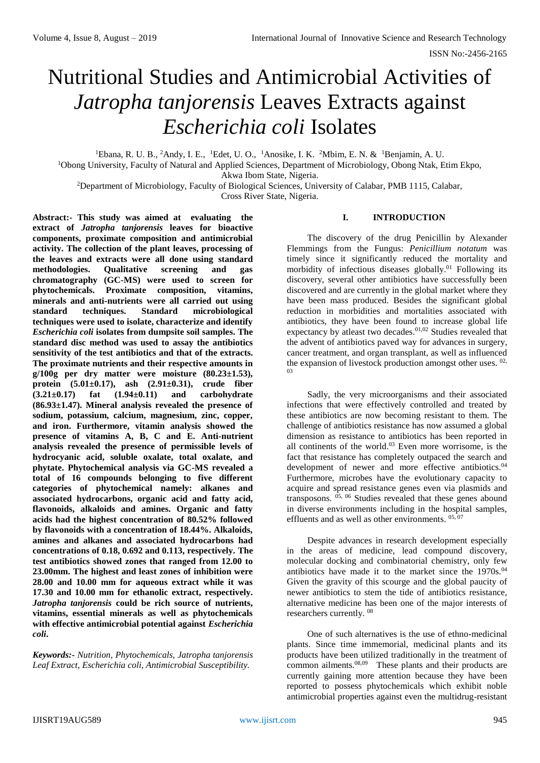# Nutritional Studies and Antimicrobial Activities of *Jatropha tanjorensis* Leaves Extracts against *Escherichia coli* Isolates

<sup>1</sup>Ebana, R. U. B., <sup>2</sup>Andy, I. E., <sup>1</sup>Edet, U. O., <sup>1</sup>Anosike, I. K. <sup>2</sup>Mbim, E. N. & <sup>1</sup>Benjamin, A. U.

<sup>1</sup>Obong University, Faculty of Natural and Applied Sciences, Department of Microbiology, Obong Ntak, Etim Ekpo, Akwa Ibom State, Nigeria.

<sup>2</sup>Department of Microbiology, Faculty of Biological Sciences, University of Calabar, PMB 1115, Calabar, Cross River State, Nigeria.

**Abstract:- This study was aimed at evaluating the extract of** *Jatropha tanjorensis* **leaves for bioactive components, proximate composition and antimicrobial activity. The collection of the plant leaves, processing of the leaves and extracts were all done using standard methodologies. Qualitative screening and gas chromatography (GC-MS) were used to screen for phytochemicals. Proximate composition, vitamins, minerals and anti-nutrients were all carried out using standard techniques. Standard microbiological techniques were used to isolate, characterize and identify**  *Escherichia coli* **isolates from dumpsite soil samples. The standard disc method was used to assay the antibiotics sensitivity of the test antibiotics and that of the extracts. The proximate nutrients and their respective amounts in g/100g per dry matter were moisture (80.23±1.53), protein (5.01±0.17), ash (2.91±0.31), crude fiber (3.21±0.17) fat (1.94±0.11) and carbohydrate (86.93±1.47). Mineral analysis revealed the presence of sodium, potassium, calcium, magnesium, zinc, copper, and iron. Furthermore, vitamin analysis showed the presence of vitamins A, B, C and E. Anti-nutrient analysis revealed the presence of permissible levels of hydrocyanic acid, soluble oxalate, total oxalate, and phytate. Phytochemical analysis via GC-MS revealed a total of 16 compounds belonging to five different categories of phytochemical namely: alkanes and associated hydrocarbons, organic acid and fatty acid, flavonoids, alkaloids and amines. Organic and fatty acids had the highest concentration of 80.52% followed by flavonoids with a concentration of 18.44%. Alkaloids, amines and alkanes and associated hydrocarbons had concentrations of 0.18, 0.692 and 0.113, respectively. The test antibiotics showed zones that ranged from 12.00 to 23.00mm. The highest and least zones of inhibition were 28.00 and 10.00 mm for aqueous extract while it was 17.30 and 10.00 mm for ethanolic extract, respectively.**  *Jatropha tanjorensis* **could be rich source of nutrients, vitamins, essential minerals as well as phytochemicals with effective antimicrobial potential against** *Escherichia coli***.**

*Keywords:- Nutrition, Phytochemicals, Jatropha tanjorensis Leaf Extract, Escherichia coli, Antimicrobial Susceptibility.* 

# **I. INTRODUCTION**

The discovery of the drug Penicillin by Alexander Flemmings from the Fungus: *Penicillium notatum* was timely since it significantly reduced the mortality and morbidity of infectious diseases globally.<sup>01</sup> Following its discovery, several other antibiotics have successfully been discovered and are currently in the global market where they have been mass produced. Besides the significant global reduction in morbidities and mortalities associated with antibiotics, they have been found to increase global life expectancy by atleast two decades.<sup>01,02</sup> Studies revealed that the advent of antibiotics paved way for advances in surgery, cancer treatment, and organ transplant, as well as influenced the expansion of livestock production amongst other uses. <sup>02,</sup> 03

Sadly, the very microorganisms and their associated infections that were effectively controlled and treated by these antibiotics are now becoming resistant to them. The challenge of antibiotics resistance has now assumed a global dimension as resistance to antibiotics has been reported in all continents of the world. <sup>03</sup> Even more worrisome, is the fact that resistance has completely outpaced the search and development of newer and more effective antibiotics.<sup>04</sup> Furthermore, microbes have the evolutionary capacity to acquire and spread resistance genes even via plasmids and transposons. 05, <sup>06</sup> Studies revealed that these genes abound in diverse environments including in the hospital samples, effluents and as well as other environments. 05,07

Despite advances in research development especially in the areas of medicine, lead compound discovery, molecular docking and combinatorial chemistry, only few antibiotics have made it to the market since the  $1970s^{04}$ Given the gravity of this scourge and the global paucity of newer antibiotics to stem the tide of antibiotics resistance, alternative medicine has been one of the major interests of researchers currently. <sup>08</sup>

One of such alternatives is the use of ethno-medicinal plants. Since time immemorial, medicinal plants and its products have been utilized traditionally in the treatment of common ailments.<sup>08,09</sup> These plants and their products are currently gaining more attention because they have been reported to possess phytochemicals which exhibit noble antimicrobial properties against even the multidrug-resistant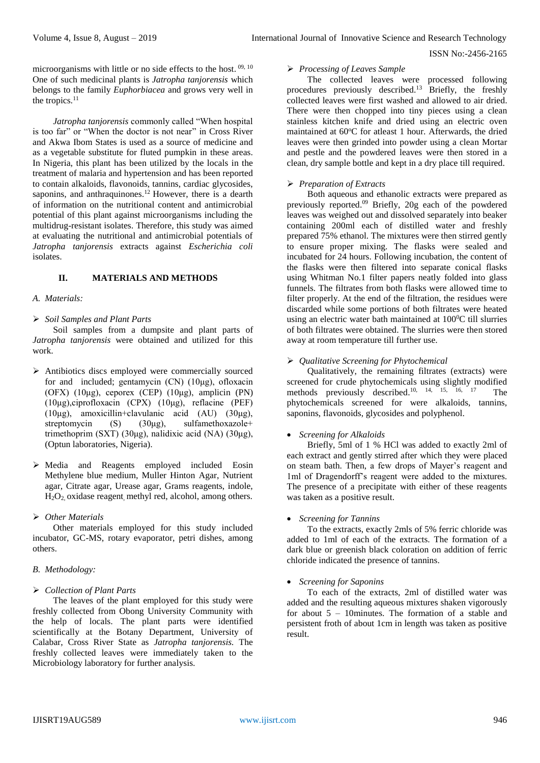microorganisms with little or no side effects to the host.<sup>09, 10</sup> One of such medicinal plants is *Jatropha tanjorensis* which belongs to the family *Euphorbiacea* and grows very well in the tropics.<sup>11</sup>

*Jatropha tanjorensis* commonly called "When hospital is too far" or "When the doctor is not near" in Cross River and Akwa Ibom States is used as a source of medicine and as a vegetable substitute for fluted pumpkin in these areas. In Nigeria, this plant has been utilized by the locals in the treatment of malaria and hypertension and has been reported to contain alkaloids, flavonoids, tannins, cardiac glycosides, saponins, and anthraquinones.<sup>12</sup> However, there is a dearth of information on the nutritional content and antimicrobial potential of this plant against microorganisms including the multidrug-resistant isolates. Therefore, this study was aimed at evaluating the nutritional and antimicrobial potentials of *Jatropha tanjorensis* extracts against *Escherichia coli* isolates.

# **II. MATERIALS AND METHODS**

#### *A. Materials:*

*Soil Samples and Plant Parts* 

Soil samples from a dumpsite and plant parts of *Jatropha tanjorensis* were obtained and utilized for this work.

- $\triangleright$  Antibiotics discs employed were commercially sourced for and included; gentamycin (CN) (10μg), ofloxacin (OFX) (10μg), ceporex (CEP) (10μg), amplicin (PN) (10μg),ciprofloxacin (CPX) (10μg), reflacine (PEF) (10μg), amoxicillin+clavulanic acid (AU) (30μg), streptomycin (S) (30μg), sulfamethoxazole+ trimethoprim (SXT) (30μg), nalidixic acid (NA) (30μg), (Optun laboratories, Nigeria).
- Media and Reagents employed included Eosin Methylene blue medium, Muller Hinton Agar, Nutrient agar, Citrate agar, Urease agar, Grams reagents, indole, H2O2, oxidase reagent, methyl red, alcohol, among others.

# *Other Materials*

Other materials employed for this study included incubator, GC-MS, rotary evaporator, petri dishes, among others.

# *B. Methodology:*

# *Collection of Plant Parts*

The leaves of the plant employed for this study were freshly collected from Obong University Community with the help of locals. The plant parts were identified scientifically at the Botany Department, University of Calabar, Cross River State as *Jatropha tanjorensis.* The freshly collected leaves were immediately taken to the Microbiology laboratory for further analysis.

#### *Processing of Leaves Sample*

The collected leaves were processed following procedures previously described.<sup>13</sup> Briefly, the freshly collected leaves were first washed and allowed to air dried. There were then chopped into tiny pieces using a clean stainless kitchen knife and dried using an electric oven maintained at 60°C for atleast 1 hour. Afterwards, the dried leaves were then grinded into powder using a clean Mortar and pestle and the powdered leaves were then stored in a clean, dry sample bottle and kept in a dry place till required.

# *Preparation of Extracts*

Both aqueous and ethanolic extracts were prepared as previously reported. <sup>09</sup> Briefly, 20g each of the powdered leaves was weighed out and dissolved separately into beaker containing 200ml each of distilled water and freshly prepared 75% ethanol. The mixtures were then stirred gently to ensure proper mixing. The flasks were sealed and incubated for 24 hours. Following incubation, the content of the flasks were then filtered into separate conical flasks using Whitman No.1 filter papers neatly folded into glass funnels. The filtrates from both flasks were allowed time to filter properly. At the end of the filtration, the residues were discarded while some portions of both filtrates were heated using an electric water bath maintained at  $100^0C$  till slurries of both filtrates were obtained. The slurries were then stored away at room temperature till further use.

#### *Qualitative Screening for Phytochemical*

Qualitatively, the remaining filtrates (extracts) were screened for crude phytochemicals using slightly modified methods previously described. 10, 14, 15, 16, 17 The phytochemicals screened for were alkaloids, tannins, saponins, flavonoids, glycosides and polyphenol.

#### *Screening for Alkaloids*

Briefly, 5ml of 1 % HCl was added to exactly 2ml of each extract and gently stirred after which they were placed on steam bath. Then, a few drops of Mayer's reagent and 1ml of Dragendorff's reagent were added to the mixtures. The presence of a precipitate with either of these reagents was taken as a positive result.

#### *Screening for Tannins*

To the extracts, exactly 2mls of 5% ferric chloride was added to 1ml of each of the extracts. The formation of a dark blue or greenish black coloration on addition of ferric chloride indicated the presence of tannins.

#### *Screening for Saponins*

To each of the extracts, 2ml of distilled water was added and the resulting aqueous mixtures shaken vigorously for about 5 – 10minutes. The formation of a stable and persistent froth of about 1cm in length was taken as positive result.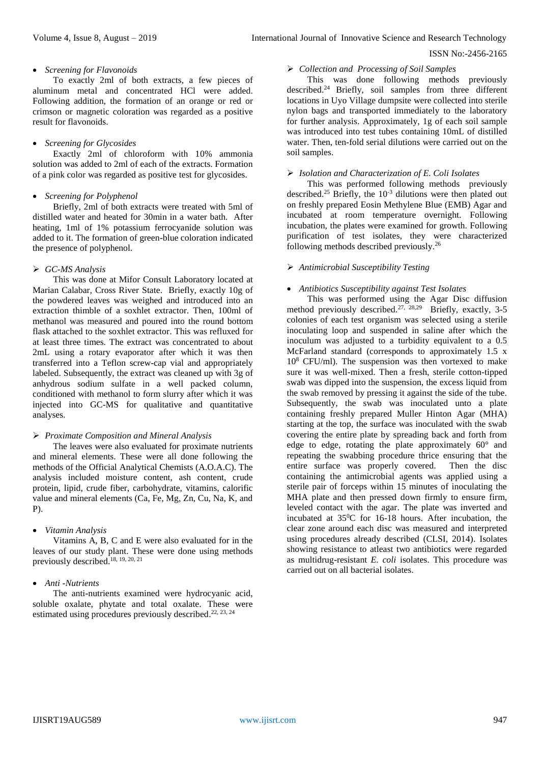#### *Screening for Flavonoids*

To exactly 2ml of both extracts, a few pieces of aluminum metal and concentrated HCl were added. Following addition, the formation of an orange or red or crimson or magnetic coloration was regarded as a positive result for flavonoids.

# *Screening for Glycosides*

Exactly 2ml of chloroform with 10% ammonia solution was added to 2ml of each of the extracts. Formation of a pink color was regarded as positive test for glycosides.

#### *Screening for Polyphenol*

Briefly, 2ml of both extracts were treated with 5ml of distilled water and heated for 30min in a water bath. After heating, 1ml of 1% potassium ferrocyanide solution was added to it. The formation of green-blue coloration indicated the presence of polyphenol.

# *GC-MS Analysis*

This was done at Mifor Consult Laboratory located at Marian Calabar, Cross River State. Briefly, exactly 10g of the powdered leaves was weighed and introduced into an extraction thimble of a soxhlet extractor. Then, 100ml of methanol was measured and poured into the round bottom flask attached to the soxhlet extractor. This was refluxed for at least three times. The extract was concentrated to about 2mL using a rotary evaporator after which it was then transferred into a Teflon screw-cap vial and appropriately labeled. Subsequently, the extract was cleaned up with 3g of anhydrous sodium sulfate in a well packed column, conditioned with methanol to form slurry after which it was injected into GC-MS for qualitative and quantitative analyses.

# *Proximate Composition and Mineral Analysis*

The leaves were also evaluated for proximate nutrients and mineral elements. These were all done following the methods of the Official Analytical Chemists (A.O.A.C). The analysis included moisture content, ash content, crude protein, lipid, crude fiber, carbohydrate, vitamins, calorific value and mineral elements (Ca, Fe, Mg, Zn, Cu, Na, K, and P).

# *Vitamin Analysis*

Vitamins A, B, C and E were also evaluated for in the leaves of our study plant. These were done using methods previously described. 18, 19, 20, 21

# *Anti -Nutrients*

The anti-nutrients examined were hydrocyanic acid, soluble oxalate, phytate and total oxalate. These were estimated using procedures previously described.<sup>22, 23, 24</sup>

# *Collection and Processing of Soil Samples*

This was done following methods previously described.<sup>24</sup> Briefly, soil samples from three different locations in Uyo Village dumpsite were collected into sterile nylon bags and transported immediately to the laboratory for further analysis. Approximately, 1g of each soil sample was introduced into test tubes containing 10mL of distilled water. Then, ten-fold serial dilutions were carried out on the soil samples.

# *Isolation and Characterization of E. Coli Isolates*

This was performed following methods previously described.<sup>25</sup> Briefly, the  $10^{-3}$  dilutions were then plated out on freshly prepared Eosin Methylene Blue (EMB) Agar and incubated at room temperature overnight. Following incubation, the plates were examined for growth. Following purification of test isolates, they were characterized following methods described previously.<sup>26</sup>

#### *Antimicrobial Susceptibility Testing*

# *Antibiotics Susceptibility against Test Isolates*

This was performed using the Agar Disc diffusion method previously described.<sup>27, 28,29</sup> Briefly, exactly, 3-5 colonies of each test organism was selected using a sterile inoculating loop and suspended in saline after which the inoculum was adjusted to a turbidity equivalent to a 0.5 McFarland standard (corresponds to approximately 1.5 x  $10<sup>8</sup>$  CFU/ml). The suspension was then vortexed to make sure it was well-mixed. Then a fresh, sterile cotton-tipped swab was dipped into the suspension, the excess liquid from the swab removed by pressing it against the side of the tube. Subsequently, the swab was inoculated unto a plate containing freshly prepared Muller Hinton Agar (MHA) starting at the top, the surface was inoculated with the swab covering the entire plate by spreading back and forth from edge to edge, rotating the plate approximately 60° and repeating the swabbing procedure thrice ensuring that the entire surface was properly covered. Then the disc containing the antimicrobial agents was applied using a sterile pair of forceps within 15 minutes of inoculating the MHA plate and then pressed down firmly to ensure firm, leveled contact with the agar. The plate was inverted and incubated at  $35\textdegree$ C for 16-18 hours. After incubation, the clear zone around each disc was measured and interpreted using procedures already described (CLSI, 2014). Isolates showing resistance to atleast two antibiotics were regarded as multidrug-resistant *E. coli* isolates. This procedure was carried out on all bacterial isolates.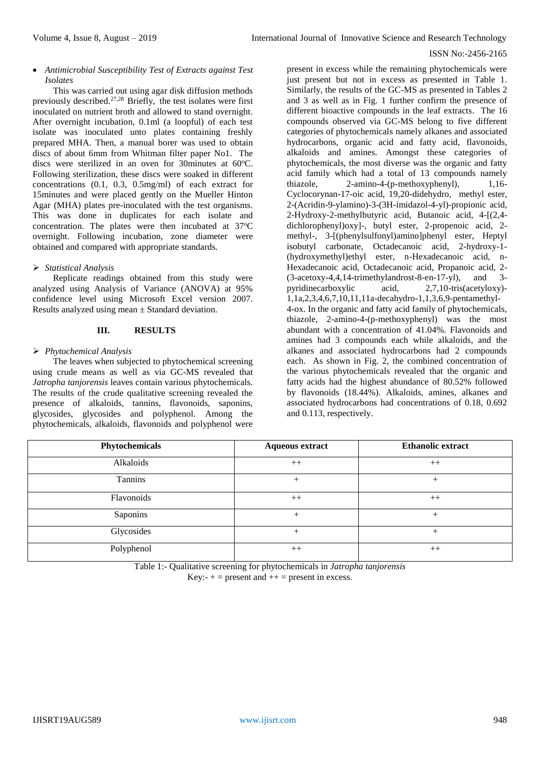# *Antimicrobial Susceptibility Test of Extracts against Test Isolates*

This was carried out using agar disk diffusion methods previously described.27,28 Briefly, the test isolates were first inoculated on nutrient broth and allowed to stand overnight. After overnight incubation, 0.1ml (a loopful) of each test isolate was inoculated unto plates containing freshly prepared MHA. Then, a manual borer was used to obtain discs of about 6mm from Whitman filter paper No1. The discs were sterilized in an oven for 30minutes at  $60^{\circ}$ C. Following sterilization, these discs were soaked in different concentrations (0.1, 0.3, 0.5mg/ml) of each extract for 15minutes and were placed gently on the Mueller Hinton Agar (MHA) plates pre-inoculated with the test organisms. This was done in duplicates for each isolate and concentration. The plates were then incubated at  $37^{\circ}$ C overnight. Following incubation, zone diameter were obtained and compared with appropriate standards.

# *Statistical Analysis*

Replicate readings obtained from this study were analyzed using Analysis of Variance (ANOVA) at 95% confidence level using Microsoft Excel version 2007. Results analyzed using mean  $\pm$  Standard deviation.

# **III. RESULTS**

# *Phytochemical Analysis*

The leaves when subjected to phytochemical screening using crude means as well as via GC-MS revealed that *Jatropha tanjorensis* leaves contain various phytochemicals. The results of the crude qualitative screening revealed the presence of alkaloids, tannins, flavonoids, saponins, glycosides, glycosides and polyphenol. Among the phytochemicals, alkaloids, flavonoids and polyphenol were

present in excess while the remaining phytochemicals were just present but not in excess as presented in Table 1. Similarly, the results of the GC-MS as presented in Tables 2 and 3 as well as in Fig. 1 further confirm the presence of different bioactive compounds in the leaf extracts. The 16 compounds observed via GC-MS belong to five different categories of phytochemicals namely alkanes and associated hydrocarbons, organic acid and fatty acid, flavonoids, alkaloids and amines. Amongst these categories of phytochemicals, the most diverse was the organic and fatty acid family which had a total of 13 compounds namely thiazole, 2-amino-4-(p-methoxyphenyl), 1,16-Cyclocorynan-17-oic acid, 19,20-didehydro, methyl ester, 2-(Acridin-9-ylamino)-3-(3H-imidazol-4-yl)-propionic acid, 2-Hydroxy-2-methylbutyric acid, Butanoic acid, 4-[(2,4 dichlorophenyl)oxy]-, butyl ester, 2-propenoic acid, 2 methyl-, 3-[(phenylsulfonyl)amino]phenyl ester, Heptyl isobutyl carbonate, Octadecanoic acid, 2-hydroxy-1- (hydroxymethyl)ethyl ester, n-Hexadecanoic acid, n-Hexadecanoic acid, Octadecanoic acid, Propanoic acid, 2- (3-acetoxy-4,4,14-trimethylandrost-8-en-17-yl), and 3 pyridinecarboxylic acid, 2,7,10-tris(acetyloxy)- 1,1a,2,3,4,6,7,10,11,11a-decahydro-1,1,3,6,9-pentamethyl-4-ox. In the organic and fatty acid family of phytochemicals, thiazole, 2-amino-4-(p-methoxyphenyl) was the most abundant with a concentration of 41.04%. Flavonoids and amines had 3 compounds each while alkaloids, and the alkanes and associated hydrocarbons had 2 compounds each. As shown in Fig. 2, the combined concentration of the various phytochemicals revealed that the organic and fatty acids had the highest abundance of 80.52% followed by flavonoids (18.44%). Alkaloids, amines, alkanes and associated hydrocarbons had concentrations of 0.18, 0.692 and 0.113, respectively.

| Phytochemicals | <b>Aqueous extract</b> | <b>Ethanolic extract</b> |
|----------------|------------------------|--------------------------|
| Alkaloids      | $++$                   | $++$                     |
| Tannins        |                        | $^+$                     |
| Flavonoids     | $++$                   | $++$                     |
| Saponins       | $^{+}$                 |                          |
| Glycosides     | $^{+}$                 | $^+$                     |
| Polyphenol     | $++$                   | $++$                     |

Table 1:- Qualitative screening for phytochemicals in *Jatropha tanjorensis*

Key:-  $+$  = present and  $++$  = present in excess.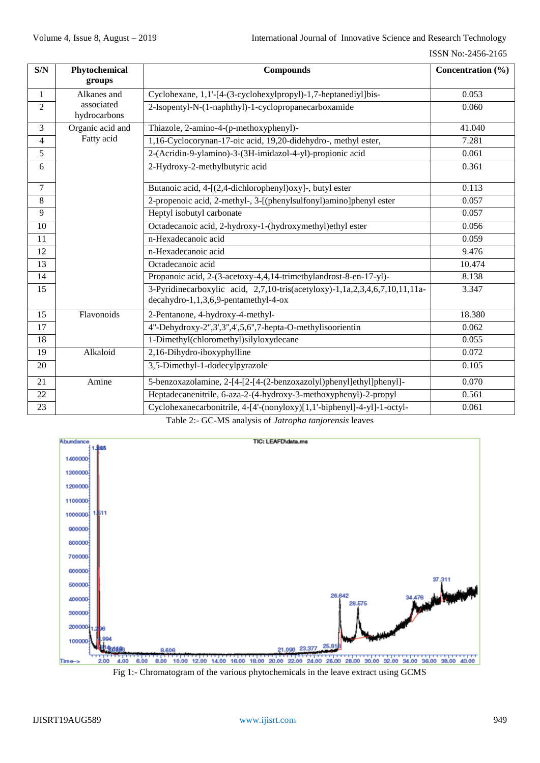| S/N            | Phytochemical              | <b>Compounds</b>                                                                                                    | Concentration $(\% )$ |
|----------------|----------------------------|---------------------------------------------------------------------------------------------------------------------|-----------------------|
|                | groups                     |                                                                                                                     |                       |
| 1              | Alkanes and                | Cyclohexane, 1,1'-[4-(3-cyclohexylpropyl)-1,7-heptanediyl]bis-                                                      | 0.053                 |
| $\overline{2}$ | associated<br>hydrocarbons | 2-Isopentyl-N-(1-naphthyl)-1-cyclopropanecarboxamide                                                                | 0.060                 |
| 3              | Organic acid and           | Thiazole, 2-amino-4-(p-methoxyphenyl)-                                                                              | 41.040                |
| $\overline{4}$ | Fatty acid                 | 1,16-Cyclocorynan-17-oic acid, 19,20-didehydro-, methyl ester,                                                      | 7.281                 |
| 5              |                            | 2-(Acridin-9-ylamino)-3-(3H-imidazol-4-yl)-propionic acid                                                           | 0.061                 |
| 6              |                            | 2-Hydroxy-2-methylbutyric acid                                                                                      | 0.361                 |
| $\overline{7}$ |                            | Butanoic acid, 4-[(2,4-dichlorophenyl)oxy]-, butyl ester                                                            | 0.113                 |
| 8              |                            | 2-propenoic acid, 2-methyl-, 3-[(phenylsulfonyl)amino]phenyl ester                                                  | 0.057                 |
| 9              |                            | Heptyl isobutyl carbonate                                                                                           | 0.057                 |
| 10             |                            | Octadecanoic acid, 2-hydroxy-1-(hydroxymethyl)ethyl ester                                                           | 0.056                 |
| 11             |                            | n-Hexadecanoic acid                                                                                                 | 0.059                 |
| 12             |                            | n-Hexadecanoic acid                                                                                                 | 9.476                 |
| 13             |                            | Octadecanoic acid                                                                                                   | 10.474                |
| 14             |                            | Propanoic acid, 2-(3-acetoxy-4,4,14-trimethylandrost-8-en-17-yl)-                                                   | 8.138                 |
| 15             |                            | 3-Pyridinecarboxylic acid, 2,7,10-tris(acetyloxy)-1,1a,2,3,4,6,7,10,11,11a-<br>decahydro-1,1,3,6,9-pentamethyl-4-ox | 3.347                 |
| 15             | Flavonoids                 | 2-Pentanone, 4-hydroxy-4-methyl-                                                                                    | 18.380                |
| 17             |                            | 4"-Dehydroxy-2",3',3",4',5,6",7-hepta-O-methylisoorientin                                                           | 0.062                 |
| 18             |                            | 1-Dimethyl(chloromethyl)silyloxydecane                                                                              | 0.055                 |
| 19             | Alkaloid                   | 2,16-Dihydro-iboxyphylline                                                                                          | 0.072                 |
| 20             |                            | 3,5-Dimethyl-1-dodecylpyrazole                                                                                      | 0.105                 |
| 21             | Amine                      | 5-benzoxazolamine, 2-[4-[2-[4-(2-benzoxazolyl)phenyl]ethyl]phenyl]-                                                 | 0.070                 |
| 22             |                            | Heptadecanenitrile, 6-aza-2-(4-hydroxy-3-methoxyphenyl)-2-propyl                                                    | 0.561                 |
| 23             |                            | Cyclohexanecarbonitrile, 4-[4'-(nonyloxy)[1,1'-biphenyl]-4-yl]-1-octyl-                                             | 0.061                 |

Table 2:- GC-MS analysis of *Jatropha tanjorensis* leaves



Fig 1:- Chromatogram of the various phytochemicals in the leave extract using GCMS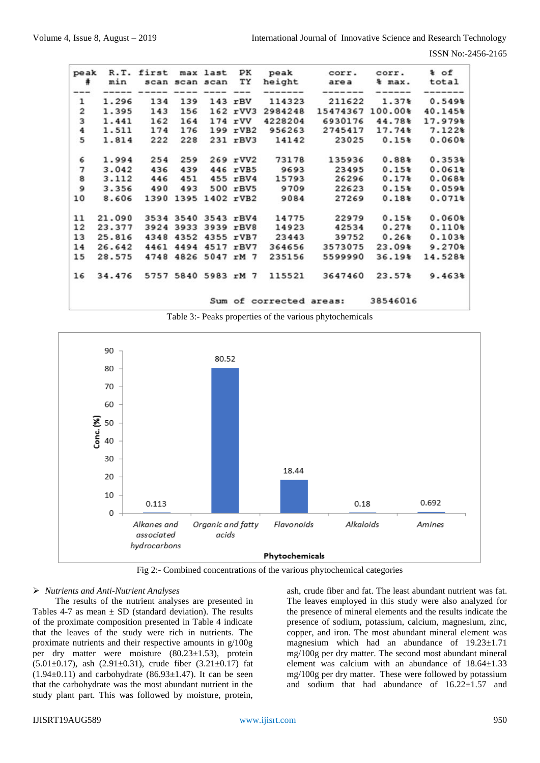ISSN No:-2456-2165

| peak<br>#                             | R.T.<br>min | first | scan scan scan | max last       | ΡК<br>ТY     | peak<br>height          | corr.<br>area | corr.<br>& max. | % of<br>total |
|---------------------------------------|-------------|-------|----------------|----------------|--------------|-------------------------|---------------|-----------------|---------------|
|                                       |             |       |                |                |              |                         |               |                 |               |
| $\mathbf 1$                           | 1.296       | 134   | 139            |                | $143$ $rBV$  | 114323                  | 211622        | $1.37*$         | 0.549%        |
| $\overline{\mathbf{c}}$               | 1.395       | 143   | 156            |                | 162 rVV3     | 2984248                 | 15474367      | 100.00%         | 40.145%       |
| 3                                     | 1.441       | 162   | 164            |                | $174$ rVV    | 4228204                 | 6930176       | 44.78%          | 17.979%       |
| 4                                     | 1.511       | 174   | 176            |                | $199$ $rVB2$ | 956263                  | 2745417       | 17.74%          | 7.122%        |
| 5                                     | 1.814       | 222   | 228            |                | 231 rBV3     | 14142                   | 23025         | 0.15%           | 0.060%        |
| 6                                     | 1.994       | 254   | 259            |                | 269 rVV2     | 73178                   | 135936        | $0.88*$         | 0.353%        |
|                                       | 3.042       | 436   | 439            |                | 446 rVB5     | 9693                    | 23495         | $0.15*$         | 0.061%        |
| $\begin{array}{c} 7 \\ 8 \end{array}$ | 3.112       | 446   | 451            |                | 455 rBV4     | 15793                   | 26296         | $0.17*$         | 0.068%        |
| 9                                     | 3.356       | 490   | 493            |                | 500 rBV5     | 9709                    | 22623         | 0.15%           | 0.059%        |
| 10                                    | 8.606       | 1390  | 1395           | 1402 rVB2      |              | 9084                    | 27269         | 0.18%           | 0.071%        |
| 11                                    | 21.090      | 3534  | 3540           | 3543 rBV4      |              | 14775                   | 22979         | 0.15%           | $0.060*$      |
| 12                                    | 23.377      | 3924  | 3933           | 3939 rBV8      |              | 14923                   | 42534         | $0.27*$         | $0.110*$      |
| 13                                    | 25.816      | 4348  | 4352           | 4355 rVB7      |              | 23443                   | 39752         | 0.26%           | 0.103%        |
| 14                                    | 26.642      | 4461  | 4494           | 4517 rBV7      |              | 364656                  | 3573075       | $23.09*$        | 9.270%        |
| 15                                    | 28.575      | 4748  | 4826           | 5047 rM 7      |              | 235156                  | 5599990       | $36.19*$        | 14.528%       |
| 16                                    | 34.476      | 5757  |                | 5840 5983 rM 7 |              | 115521                  | 3647460       | 23.57%          | 9.463%        |
|                                       |             |       |                |                |              | Sum of corrected areas: |               | 38546016        |               |

Table 3:- Peaks properties of the various phytochemicals



Fig 2:- Combined concentrations of the various phytochemical categories

# *Nutrients and Anti-Nutrient Analyses*

The results of the nutrient analyses are presented in Tables 4-7 as mean  $\pm$  SD (standard deviation). The results of the proximate composition presented in Table 4 indicate that the leaves of the study were rich in nutrients. The proximate nutrients and their respective amounts in g/100g per dry matter were moisture (80.23±1.53), protein  $(5.01\pm0.17)$ , ash  $(2.91\pm0.31)$ , crude fiber  $(3.21\pm0.17)$  fat  $(1.94\pm0.11)$  and carbohydrate  $(86.93\pm1.47)$ . It can be seen that the carbohydrate was the most abundant nutrient in the study plant part. This was followed by moisture, protein, ash, crude fiber and fat. The least abundant nutrient was fat. The leaves employed in this study were also analyzed for the presence of mineral elements and the results indicate the presence of sodium, potassium, calcium, magnesium, zinc, copper, and iron. The most abundant mineral element was magnesium which had an abundance of 19.23±1.71 mg/100g per dry matter. The second most abundant mineral element was calcium with an abundance of  $18.64 \pm 1.33$ mg/100g per dry matter. These were followed by potassium and sodium that had abundance of  $16.22 \pm 1.57$  and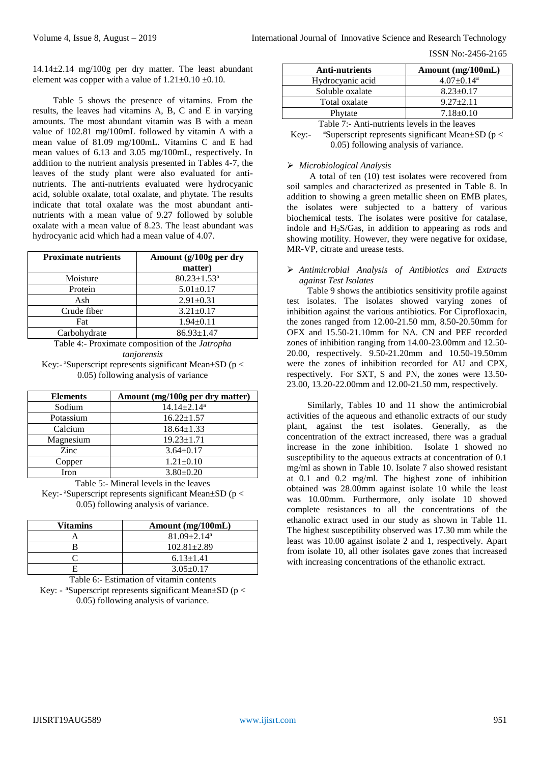ISSN No:-2456-2165

14.14±2.14 mg/100g per dry matter. The least abundant element was copper with a value of  $1.21 \pm 0.10 \pm 0.10$ .

Table 5 shows the presence of vitamins. From the results, the leaves had vitamins A, B, C and E in varying amounts. The most abundant vitamin was B with a mean value of 102.81 mg/100mL followed by vitamin A with a mean value of 81.09 mg/100mL. Vitamins C and E had mean values of 6.13 and 3.05 mg/100mL, respectively. In addition to the nutrient analysis presented in Tables 4-7, the leaves of the study plant were also evaluated for antinutrients. The anti-nutrients evaluated were hydrocyanic acid, soluble oxalate, total oxalate, and phytate. The results indicate that total oxalate was the most abundant antinutrients with a mean value of 9.27 followed by soluble oxalate with a mean value of 8.23. The least abundant was hydrocyanic acid which had a mean value of 4.07.

| <b>Proximate nutrients</b> | Amount (g/100g per dry        |  |  |
|----------------------------|-------------------------------|--|--|
|                            | matter)                       |  |  |
| Moisture                   | $80.23 \pm 1.53$ <sup>a</sup> |  |  |
| Protein                    | $5.01 \pm 0.17$               |  |  |
| Ash                        | $2.91 \pm 0.31$               |  |  |
| Crude fiber                | $3.21 \pm 0.17$               |  |  |
| Fat                        | $1.94 \pm 0.11$               |  |  |
| Carbohydrate               | $86.93 \pm 1.47$              |  |  |

Table 4:- Proximate composition of the *Jatropha tanjorensis* Key:- $a$ Superscript represents significant Mean $\pm$ SD (p <

0.05) following analysis of variance

| <b>Elements</b> | Amount (mg/100g per dry matter) |
|-----------------|---------------------------------|
| Sodium          | $14.14 \pm 2.14$ <sup>a</sup>   |
| Potassium       | $16.22 \pm 1.57$                |
| Calcium         | $18.64 \pm 1.33$                |
| Magnesium       | $19.23 \pm 1.71$                |
| Zinc            | $3.64 \pm 0.17$                 |
| Copper          | $1.21 \pm 0.10$                 |
| Iron            | $3.80 \pm 0.20$                 |

Table 5:- Mineral levels in the leaves Key:- $a$ Superscript represents significant Mean $\pm$ SD (p < 0.05) following analysis of variance.

| Vitamins | Amount (mg/100mL)             |  |  |
|----------|-------------------------------|--|--|
|          | $81.09 \pm 2.14$ <sup>a</sup> |  |  |
|          | $102.81 \pm 2.89$             |  |  |
|          | $6.13 \pm 1.41$               |  |  |
|          | $3.05 \pm 0.17$               |  |  |

Table 6:- Estimation of vitamin contents Key: -  $^{\circ}$ Superscript represents significant Mean $\pm$ SD (p < 0.05) following analysis of variance.

| <b>Anti-nutrients</b>                         | Amount $(mg/100mL)$          |  |  |  |  |
|-----------------------------------------------|------------------------------|--|--|--|--|
| Hydrocyanic acid                              | $4.07 \pm 0.14$ <sup>a</sup> |  |  |  |  |
| Soluble oxalate                               | $8.23 \pm 0.17$              |  |  |  |  |
| Total oxalate                                 | $9.27 + 2.11$                |  |  |  |  |
| Phytate                                       | $7.18 \pm 0.10$              |  |  |  |  |
| Table 7:- Anti-nutrients levels in the leaves |                              |  |  |  |  |

Key:- <sup>a</sup>Superscript represents significant Mean $\pm$ SD (p < 0.05) following analysis of variance.

#### *Microbiological Analysis*

A total of ten (10) test isolates were recovered from soil samples and characterized as presented in Table 8. In addition to showing a green metallic sheen on EMB plates, the isolates were subjected to a battery of various biochemical tests. The isolates were positive for catalase, indole and H2S/Gas, in addition to appearing as rods and showing motility. However, they were negative for oxidase, MR-VP, citrate and urease tests.

#### *Antimicrobial Analysis of Antibiotics and Extracts against Test Isolates*

Table 9 shows the antibiotics sensitivity profile against test isolates. The isolates showed varying zones of inhibition against the various antibiotics. For Ciprofloxacin, the zones ranged from 12.00-21.50 mm, 8.50-20.50mm for OFX and 15.50-21.10mm for NA. CN and PEF recorded zones of inhibition ranging from 14.00-23.00mm and 12.50- 20.00, respectively. 9.50-21.20mm and 10.50-19.50mm were the zones of inhibition recorded for AU and CPX, respectively. For SXT, S and PN, the zones were 13.50- 23.00, 13.20-22.00mm and 12.00-21.50 mm, respectively.

Similarly, Tables 10 and 11 show the antimicrobial activities of the aqueous and ethanolic extracts of our study plant, against the test isolates. Generally, as the concentration of the extract increased, there was a gradual increase in the zone inhibition. Isolate 1 showed no susceptibility to the aqueous extracts at concentration of 0.1 mg/ml as shown in Table 10. Isolate 7 also showed resistant at 0.1 and 0.2 mg/ml. The highest zone of inhibition obtained was 28.00mm against isolate 10 while the least was 10.00mm. Furthermore, only isolate 10 showed complete resistances to all the concentrations of the ethanolic extract used in our study as shown in Table 11. The highest susceptibility observed was 17.30 mm while the least was 10.00 against isolate 2 and 1, respectively. Apart from isolate 10, all other isolates gave zones that increased with increasing concentrations of the ethanolic extract.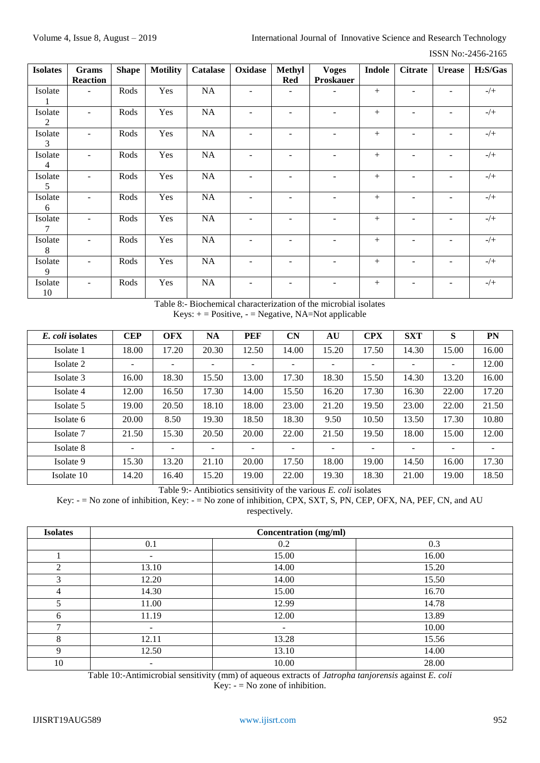| <b>Isolates</b>           | Grams           | <b>Shape</b> | <b>Motility</b> | <b>Catalase</b> | Oxidase                  | Methyl                   | <b>Voges</b>             | <b>Indole</b> | <b>Citrate</b>           | <b>Urease</b> | H <sub>2</sub> S/Gas |
|---------------------------|-----------------|--------------|-----------------|-----------------|--------------------------|--------------------------|--------------------------|---------------|--------------------------|---------------|----------------------|
|                           | <b>Reaction</b> |              |                 |                 |                          | Red                      | <b>Proskauer</b>         |               |                          |               |                      |
| Isolate                   |                 | Rods         | Yes             | NA              |                          | $\overline{\phantom{0}}$ |                          | $+$           |                          |               | $-/+$                |
| Isolate<br>2              | ٠               | Rods         | Yes             | NA              | $\overline{a}$           | ٠                        |                          | $^{+}$        | ۰                        |               | $-/+$                |
| Isolate<br>3              | ÷.              | Rods         | Yes             | NA              | $\blacksquare$           | ٠                        | $\overline{a}$           | $+$           | ÷                        | ۰             | $-/+$                |
| Isolate<br>$\overline{4}$ | ÷.              | Rods         | Yes             | NA              | ٠                        | ٠                        |                          | $+$           | ۰                        |               | $-/+$                |
| Isolate<br>5              | ٠               | Rods         | Yes             | NA              | $\overline{\phantom{a}}$ | $\overline{\phantom{a}}$ |                          | $+$           | $\overline{\phantom{0}}$ | -             | $-/+$                |
| Isolate<br>6              |                 | Rods         | Yes             | NA              |                          | ۰                        |                          | $^{+}$        |                          |               | $-/+$                |
| Isolate<br>7              | $\blacksquare$  | Rods         | Yes             | NA              | $\blacksquare$           | $\overline{\phantom{a}}$ | $\overline{\phantom{a}}$ | $+$           | ۰                        | ۰             | $-/+$                |
| Isolate<br>8              | ÷.              | Rods         | Yes             | NA              | $\overline{\phantom{a}}$ | $\overline{\phantom{m}}$ |                          | $+$           | ۰                        | ٠             | $-/+$                |
| Isolate<br>9              | ÷.              | Rods         | Yes             | NA              | $\blacksquare$           | $\overline{\phantom{0}}$ |                          | $+$           |                          | ۰             | $-/+$                |
| Isolate<br>10             | ٠               | Rods         | Yes             | NA              | $\overline{\phantom{a}}$ | $\qquad \qquad$          |                          | $+$           | $\overline{a}$           |               | $-/+$                |

Table 8:- Biochemical characterization of the microbial isolates  $Keys: += Positive, - = Negative, NA=Not applicable$ 

| E. coli isolates | <b>CEP</b>               | <b>OFX</b>               | <b>NA</b>                | <b>PEF</b> | CN    | AU    | <b>CPX</b>               | <b>SXT</b>               | S     | PN    |
|------------------|--------------------------|--------------------------|--------------------------|------------|-------|-------|--------------------------|--------------------------|-------|-------|
| Isolate 1        | 18.00                    | 17.20                    | 20.30                    | 12.50      | 14.00 | 15.20 | 17.50                    | 14.30                    | 15.00 | 16.00 |
| Isolate 2        | -                        | -                        | $\overline{\phantom{0}}$ |            |       |       |                          |                          | -     | 12.00 |
| Isolate 3        | 16.00                    | 18.30                    | 15.50                    | 13.00      | 17.30 | 18.30 | 15.50                    | 14.30                    | 13.20 | 16.00 |
| Isolate 4        | 12.00                    | 16.50                    | 17.30                    | 14.00      | 15.50 | 16.20 | 17.30                    | 16.30                    | 22.00 | 17.20 |
| Isolate 5        | 19.00                    | 20.50                    | 18.10                    | 18.00      | 23.00 | 21.20 | 19.50                    | 23.00                    | 22.00 | 21.50 |
| Isolate 6        | 20.00                    | 8.50                     | 19.30                    | 18.50      | 18.30 | 9.50  | 10.50                    | 13.50                    | 17.30 | 10.80 |
| Isolate 7        | 21.50                    | 15.30                    | 20.50                    | 20.00      | 22.00 | 21.50 | 19.50                    | 18.00                    | 15.00 | 12.00 |
| Isolate 8        | $\overline{\phantom{0}}$ | $\overline{\phantom{0}}$ | ÷                        |            |       | Ξ.    | $\overline{\phantom{0}}$ | $\overline{\phantom{0}}$ | -     | ۰     |
| Isolate 9        | 15.30                    | 13.20                    | 21.10                    | 20.00      | 17.50 | 18.00 | 19.00                    | 14.50                    | 16.00 | 17.30 |
| Isolate 10       | 14.20                    | 16.40                    | 15.20                    | 19.00      | 22.00 | 19.30 | 18.30                    | 21.00                    | 19.00 | 18.50 |

Table 9:- Antibiotics sensitivity of the various *E. coli* isolates

Key: - = No zone of inhibition, Key: - = No zone of inhibition, CPX, SXT, S, PN, CEP, OFX, NA, PEF, CN, and AU respectively.

| <b>Isolates</b> |        | <b>Concentration</b> (mg/ml) |       |  |  |  |  |  |
|-----------------|--------|------------------------------|-------|--|--|--|--|--|
|                 | 0.1    | 0.2                          | 0.3   |  |  |  |  |  |
|                 | $\sim$ | 15.00                        | 16.00 |  |  |  |  |  |
| $\overline{c}$  | 13.10  | 14.00                        | 15.20 |  |  |  |  |  |
| 3               | 12.20  | 14.00                        | 15.50 |  |  |  |  |  |
| 4               | 14.30  | 15.00                        | 16.70 |  |  |  |  |  |
| 5               | 11.00  | 12.99                        | 14.78 |  |  |  |  |  |
| 6               | 11.19  | 12.00                        | 13.89 |  |  |  |  |  |
| ┑               |        | -                            | 10.00 |  |  |  |  |  |
| 8               | 12.11  | 13.28                        | 15.56 |  |  |  |  |  |
| 9               | 12.50  | 13.10                        | 14.00 |  |  |  |  |  |
| 10              | ۰.     | 10.00                        | 28.00 |  |  |  |  |  |

Table 10:-Antimicrobial sensitivity (mm) of aqueous extracts of *Jatropha tanjorensis* against *E. coli* Key:  $-$  = No zone of inhibition.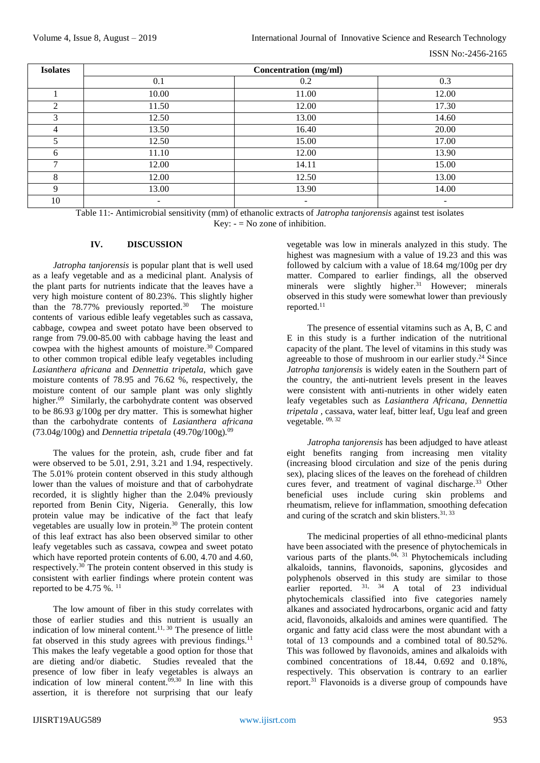| <b>Isolates</b> |                          | Concentration (mg/ml) |                          |  |  |  |  |  |
|-----------------|--------------------------|-----------------------|--------------------------|--|--|--|--|--|
|                 | 0.1                      | 0.2                   | 0.3                      |  |  |  |  |  |
|                 | 10.00                    | 11.00                 | 12.00                    |  |  |  |  |  |
| 2               | 11.50                    | 12.00                 | 17.30                    |  |  |  |  |  |
| 3               | 12.50                    | 13.00                 | 14.60                    |  |  |  |  |  |
| 4               | 13.50                    | 16.40                 | 20.00                    |  |  |  |  |  |
|                 | 12.50                    | 15.00                 | 17.00                    |  |  |  |  |  |
| 6               | 11.10                    | 12.00                 | 13.90                    |  |  |  |  |  |
| ⇁               | 12.00                    | 14.11                 | 15.00                    |  |  |  |  |  |
| 8               | 12.00                    | 12.50                 | 13.00                    |  |  |  |  |  |
| Q               | 13.00                    | 13.90                 | 14.00                    |  |  |  |  |  |
| 10              | $\overline{\phantom{a}}$ | ٠.                    | $\overline{\phantom{a}}$ |  |  |  |  |  |

Table 11:- Antimicrobial sensitivity (mm) of ethanolic extracts of *Jatropha tanjorensis* against test isolates Key:  $-$  = No zone of inhibition.

# **IV. DISCUSSION**

*Jatropha tanjorensis* is popular plant that is well used as a leafy vegetable and as a medicinal plant. Analysis of the plant parts for nutrients indicate that the leaves have a very high moisture content of 80.23%. This slightly higher than the  $78.77\%$  previously reported.<sup>30</sup> The moisture contents of various edible leafy vegetables such as cassava, cabbage, cowpea and sweet potato have been observed to range from 79.00-85.00 with cabbage having the least and cowpea with the highest amounts of moisture. $30$  Compared to other common tropical edible leafy vegetables including *Lasianthera africana* and *Dennettia tripetala*, which gave moisture contents of 78.95 and 76.62 %, respectively, the moisture content of our sample plant was only slightly higher.<sup>09</sup> Similarly, the carbohydrate content was observed to be 86.93 g/100g per dry matter. This is somewhat higher than the carbohydrate contents of *Lasianthera africana* (73.04g/100g) and *Dennettia tripetala* (49.70g/100g)*.* 09

The values for the protein, ash, crude fiber and fat were observed to be 5.01, 2.91, 3.21 and 1.94, respectively. The 5.01% protein content observed in this study although lower than the values of moisture and that of carbohydrate recorded, it is slightly higher than the 2.04% previously reported from Benin City, Nigeria. Generally, this low protein value may be indicative of the fact that leafy vegetables are usually low in protein.<sup>30</sup> The protein content of this leaf extract has also been observed similar to other leafy vegetables such as cassava, cowpea and sweet potato which have reported protein contents of 6.00, 4.70 and 4.60. respectively.<sup>30</sup> The protein content observed in this study is consistent with earlier findings where protein content was reported to be  $4.75 \%$ . <sup>11</sup>

The low amount of fiber in this study correlates with those of earlier studies and this nutrient is usually an indication of low mineral content.<sup>11, 30</sup> The presence of little fat observed in this study agrees with previous findings.<sup>11</sup> This makes the leafy vegetable a good option for those that are dieting and/or diabetic. Studies revealed that the presence of low fiber in leafy vegetables is always an indication of low mineral content.<sup>09,30</sup> In line with this assertion, it is therefore not surprising that our leafy

vegetable was low in minerals analyzed in this study. The highest was magnesium with a value of 19.23 and this was followed by calcium with a value of 18.64 mg/100g per dry matter. Compared to earlier findings, all the observed minerals were slightly higher.<sup>31</sup> However; minerals observed in this study were somewhat lower than previously reported.<sup>11</sup>

The presence of essential vitamins such as A, B, C and E in this study is a further indication of the nutritional capacity of the plant. The level of vitamins in this study was agreeable to those of mushroom in our earlier study. <sup>24</sup> Since *Jatropha tanjorensis* is widely eaten in the Southern part of the country, the anti-nutrient levels present in the leaves were consistent with anti-nutrients in other widely eaten leafy vegetables such as *Lasianthera Africana, Dennettia tripetala ,* cassava, water leaf, bitter leaf, Ugu leaf and green vegetable. 09, 32

*Jatropha tanjorensis* has been adjudged to have atleast eight benefits ranging from increasing men vitality (increasing blood circulation and size of the penis during sex), placing slices of the leaves on the forehead of children cures fever, and treatment of vaginal discharge.<sup>33</sup> Other beneficial uses include curing skin problems and rheumatism, relieve for inflammation, smoothing defecation and curing of the scratch and skin blisters. 31, 33

The medicinal properties of all ethno-medicinal plants have been associated with the presence of phytochemicals in various parts of the plants. $04$ ,  $31$  Phytochemicals including alkaloids, tannins, flavonoids, saponins, glycosides and polyphenols observed in this study are similar to those earlier reported. <sup>31, 34</sup> A total of 23 individual phytochemicals classified into five categories namely alkanes and associated hydrocarbons, organic acid and fatty acid, flavonoids, alkaloids and amines were quantified. The organic and fatty acid class were the most abundant with a total of 13 compounds and a combined total of 80.52%. This was followed by flavonoids, amines and alkaloids with combined concentrations of 18.44, 0.692 and 0.18%, respectively. This observation is contrary to an earlier report.<sup>31</sup> Flavonoids is a diverse group of compounds have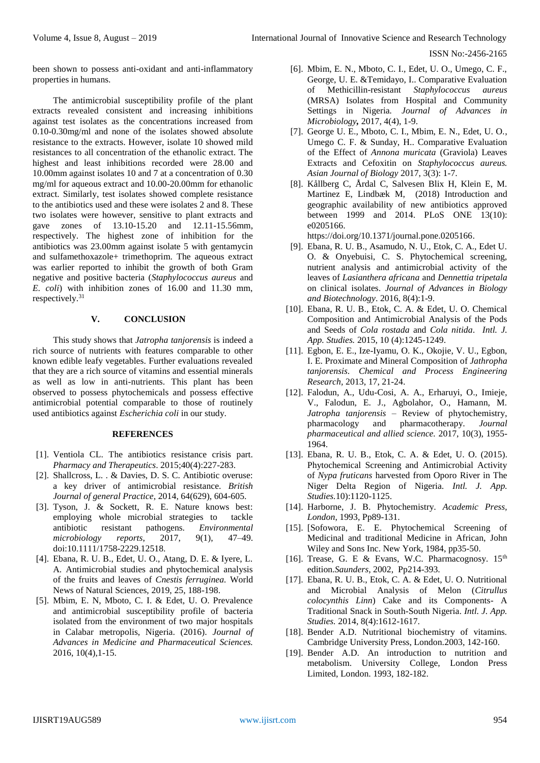been shown to possess anti-oxidant and anti-inflammatory properties in humans.

The antimicrobial susceptibility profile of the plant extracts revealed consistent and increasing inhibitions against test isolates as the concentrations increased from 0.10-0.30mg/ml and none of the isolates showed absolute resistance to the extracts. However, isolate 10 showed mild resistances to all concentration of the ethanolic extract. The highest and least inhibitions recorded were 28.00 and 10.00mm against isolates 10 and 7 at a concentration of 0.30 mg/ml for aqueous extract and 10.00-20.00mm for ethanolic extract. Similarly, test isolates showed complete resistance to the antibiotics used and these were isolates 2 and 8. These two isolates were however, sensitive to plant extracts and gave zones of 13.10-15.20 and 12.11-15.56mm, respectively. The highest zone of inhibition for the antibiotics was 23.00mm against isolate 5 with gentamycin and sulfamethoxazole+ trimethoprim. The aqueous extract was earlier reported to inhibit the growth of both Gram negative and positive bacteria (*Staphylococcus aureus* and *E. coli*) with inhibition zones of 16.00 and 11.30 mm, respectively.<sup>31</sup>

# **V. CONCLUSION**

This study shows that *Jatropha tanjorensis* is indeed a rich source of nutrients with features comparable to other known edible leafy vegetables. Further evaluations revealed that they are a rich source of vitamins and essential minerals as well as low in anti-nutrients. This plant has been observed to possess phytochemicals and possess effective antimicrobial potential comparable to those of routinely used antibiotics against *Escherichia coli* in our study.

# **REFERENCES**

- [1]. Ventiola CL. The antibiotics resistance crisis part. *Pharmacy and Therapeutics*. 2015;40(4):227-283.
- [2]. Shallcross, L. . & Davies, D. S. C. Antibiotic overuse: a key driver of antimicrobial resistance. *British Journal of general Practice*, 2014, 64(629), 604-605.
- [3]. Tyson, J. & Sockett, R. E. Nature knows best: employing whole microbial strategies to tackle antibiotic resistant pathogens. *Environmental microbiology reports*, 2017, 9(1), 47–49. doi:10.1111/1758-2229.12518.
- [4]. Ebana, R. U. B., Edet, U. O., Atang, D. E. & Iyere, L. A. Antimicrobial studies and phytochemical analysis of the fruits and leaves of *Cnestis ferruginea.* World News of Natural Sciences, 2019, 25, 188-198.
- [5]. Mbim, E. N, Mboto, C. I. & Edet, U. O. Prevalence and antimicrobial susceptibility profile of bacteria isolated from the environment of two major hospitals in Calabar metropolis, Nigeria. (2016). *Journal of Advances in Medicine and Pharmaceutical Sciences.* 2016, 10(4),1-15.
- [6]. Mbim, E. N., Mboto, C. I., Edet, U. O., Umego, C. F., George, U. E. &Temidayo, I.. Comparative Evaluation of Methicillin-resistant *Staphylococcus aureus* (MRSA) Isolates from Hospital and Community Settings in Nigeria*. Journal of Advances in Microbiology,* 2017, 4(4), 1-9.
- [7]. George U. E., Mboto, C. I., Mbim, E. N., Edet, U. O., Umego C. F. & Sunday, H.. Comparative Evaluation of the Effect of *Annona muricata* (Graviola) Leaves Extracts and Cefoxitin on *Staphylococcus aureus. Asian Journal of Biology* 2017, 3(3): 1-7.
- [8]. Kållberg C, Årdal C, Salvesen Blix H, Klein E, M. Martinez E, Lindbæk M, (2018) Introduction and geographic availability of new antibiotics approved between 1999 and 2014. PLoS ONE 13(10): e0205166.

[https://doi.org/10.1371/journal.pone.0205166.](https://doi.org/10.1371/journal.pone.0205166)

- [9]. Ebana, R. U. B., Asamudo, N. U., Etok, C. A., Edet U. O. & Onyebuisi, C. S. Phytochemical screening, nutrient analysis and antimicrobial activity of the leaves of *Lasianthera africana* and *Dennettia tripetala*  on clinical isolates. *Journal of Advances in Biology and Biotechnology*. 2016, 8(4):1-9.
- [10]. Ebana, R. U. B., Etok, C. A. & Edet, U. O. Chemical Composition and Antimicrobial Analysis of the Pods and Seeds of *Cola rostada* and *Cola nitida*. *Intl. J. App. Studies.* 2015, 10 (4):1245-1249.
- [11]. Egbon, E. E., Ize-Iyamu, O. K., Okojie, V. U., Egbon, I. E. Proximate and Mineral Composition of *Jathropha tanjorensis*. *Chemical and Process Engineering Research,* 2013, 17, 21-24.
- [12]. Falodun, A., Udu-Cosi, A. A., Erharuyi, O., Imieje, V., Falodun, E. J., Agbolahor, O., Hamann, M. *Jatropha tanjorensis* – Review of phytochemistry, pharmacology and pharmacotherapy. *Journal pharmaceutical and allied science.* 2017, 10(3), 1955- 1964.
- [13]. Ebana, R. U. B., Etok, C. A. & Edet, U. O. (2015). Phytochemical Screening and Antimicrobial Activity of *Nypa fruticans* harvested from Oporo River in The Niger Delta Region of Nigeria. *Intl. J. App. Studies.*10):1120-1125.
- [14]. Harborne, J. B. Phytochemistry. *Academic Press, London*, 1993, Pp89-131.
- [15]. [Sofowora, E. E. Phytochemical Screening of Medicinal and traditional Medicine in African, John Wiley and Sons Inc. New York, 1984, pp35-50.
- [16]. Trease, G. E & Evans, W.C. Pharmacognosy. 15<sup>th</sup> edition.*Saunders*, 2002, Pp214-393.
- [17]. Ebana, R. U. B., Etok, C. A. & Edet, U. O. Nutritional and Microbial Analysis of Melon (*Citrullus colocynthis Linn*) Cake and its Components- A Traditional Snack in South-South Nigeria. *Intl. J. App. Studies.* 2014, 8(4):1612-1617.
- [18]. Bender A.D. Nutritional biochemistry of vitamins. Cambridge University Press, London.2003, 142-160.
- [19]. Bender A.D. An introduction to nutrition and metabolism. University College, London Press Limited, London. 1993, 182-182.